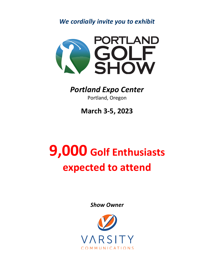*We cordially invite you to exhibit*



## *Portland Expo Center*

Portland, Oregon

**March 3-5, 2023**

## **9,000 Golf Enthusiasts expected to attend**

*Show Owner*

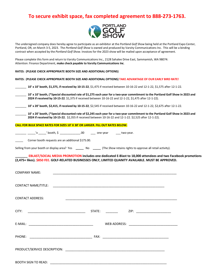## **To secure exhibit space, fax completed agreement to 888-273-1763.**



The undersigned company does hereby agree to participate as an exhibitor at the *Portland Golf Show* being held at the Portland Expo Center, Portland, OR, on March 3-5, 2023. The *Portland Golf Show* is owned and produced by Varsity Communications Inc. This will be a binding contract when accepted by the *Portland Golf Show*. Invoices for the 2023 show will be mailed upon acceptance of agreement.

Please complete this form and return to Varsity Communications Inc., 2128 Sahalee Drive East, Sammamish, WA 98074: Attention: Finance Department, **make check payable to Varsity Communications Inc**.

**RATES: (PLEASE CHECK APPROPRIATE BOOTH SIZE AND ADDITIONAL OPTIONS) TAKE ADVANTAGE OF OUR EARLY BIRD RATE!**

## **RATES: (PLEASE CHECK APPROPRIATE BOOTH SIZE AND ADDITIONAL OPTIONS)**

| 10' x 10' booth, \$1,375, if received by 10-15-22, \$1,475 if received between 10-16-22 and 12-1-22, \$1,575 after 12-1-22.                                                                                                                |
|--------------------------------------------------------------------------------------------------------------------------------------------------------------------------------------------------------------------------------------------|
| 10' x 10' booth, (*Special discounted rate of \$1,275 each year for a two-year commitment to the Portland Golf Show in 2023 and<br>2024 if received by 10-15-22. \$1,375 if received between 10-16-22 and 12-1-22, \$1,475 after 12-1-22). |
| 10' x 20' booth, \$2,415, if received by 10-15-22, \$2,545 if received between 10-16-22 and 12-1-22, \$2,675 after 12-1-22.                                                                                                                |
| 10' x 20' booth, (*Special discounted rate of \$2,245 each year for a two-year commitment to the Portland Golf Show in 2023 and<br>2024 if received by 10-15-22. \$2,355 if received between 10-16-22 and 12-1-22. \$2,525 after 12-1-22). |
| CALL FOR BULK SPACE RATES FOR SIZES 10' X 30' OR LARGER. FILL OUT RATES BELOW.                                                                                                                                                             |
| _____ _______'x ______' booth, \$ _______________.00   ____ one-year   ____ two-year.                                                                                                                                                      |
| Corner booth requests are an additional \$175.00.                                                                                                                                                                                          |
| Selling from your booth or display area? Yes _______ No ______ (The Show retains rights to approve all retail activity).                                                                                                                   |
| EBLAST/SOCIAL MEDIA PROMOTION includes one dedicated E-Blast to 18,000 attendees and two Facebook promotions                                                                                                                               |
| (2,475+ likes). \$850 FEE. GOLF-RELATED BUSINESSES ONLY, LIMITED QUANITY AVAILABLE. MUST BE APPROVED.                                                                                                                                      |
| <b>COMPANY NAME:</b><br><u> 1989 - John Stoff, deutscher Stoff, der Stoff, der Stoff, der Stoff, der Stoff, der Stoff, der Stoff, der Sto</u>                                                                                              |
| <b>CONTACT NAME/TITLE:</b><br><u> 1989 - Johann Stoff, deutscher Stoff, der Stoff, der Stoff, der Stoff, der Stoff, der Stoff, der Stoff, der S</u>                                                                                        |
| <b>CONTACT ADDRESS:</b>                                                                                                                                                                                                                    |
| ZIP: _________________________<br>CITY:<br>STATE:                                                                                                                                                                                          |
| E-MAIL: EXAMPLE THE STATE OF THE STATE OF THE STATE OF THE STATE OF THE STATE OF THE STATE OF THE STATE OF THE                                                                                                                             |
| PHONE:<br>FAX:                                                                                                                                                                                                                             |
|                                                                                                                                                                                                                                            |
|                                                                                                                                                                                                                                            |